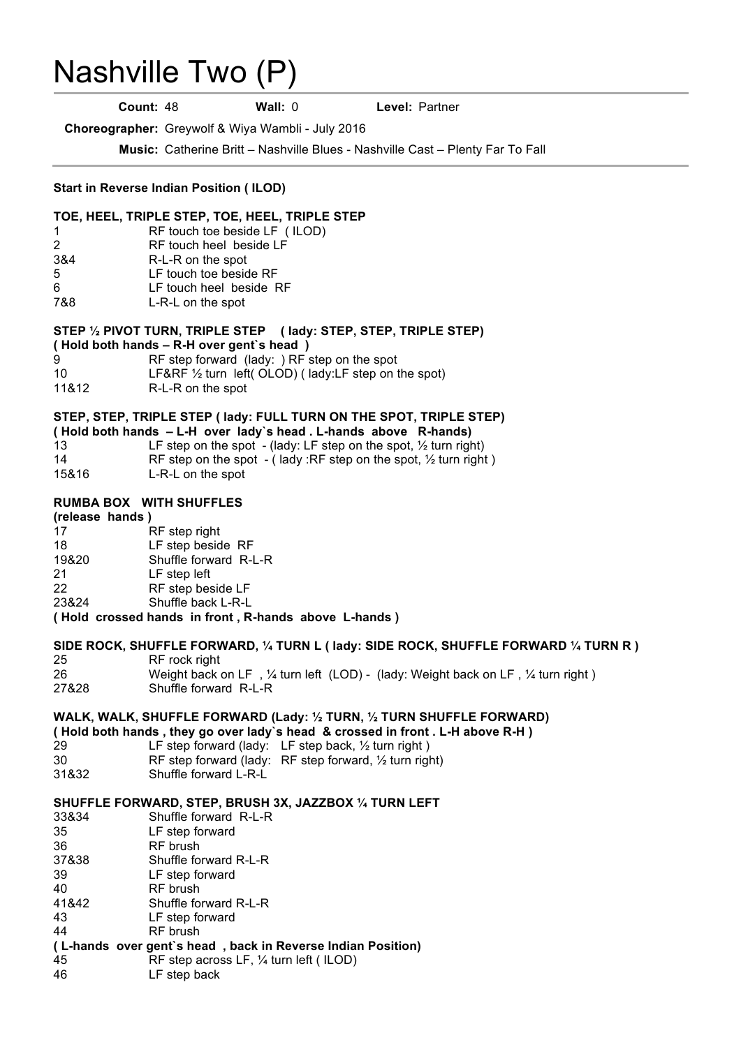# Nashville Two (P) .

**Count:** 48 **Wall:** 0 **Level:** Partner

**Choreographer:** Greywolf & Wiya Wambli - July 2016

**Music:** Catherine Britt – Nashville Blues - Nashville Cast – Plenty Far To Fall

## **Start in Reverse Indian Position ( ILOD)**

### **TOE, HEEL, TRIPLE STEP, TOE, HEEL, TRIPLE STEP**

- 1 RF touch toe beside LF ( ILOD)
- 2 RF touch heel beside LF
- 3&4 R-L-R on the spot
- 5 LF touch toe beside RF
- 6 LF touch heel beside RF
- 7&8 L-R-L on the spot

## **STEP ½ PIVOT TURN, TRIPLE STEP ( lady: STEP, STEP, TRIPLE STEP)**

- **( Hold both hands – R-H over gent`s head )**
- 9 RF step forward (lady: ) RF step on the spot
- 10 LF&RF ½ turn left( OLOD) ( lady:LF step on the spot)
- 11&12 R-L-R on the spot

## **STEP, STEP, TRIPLE STEP ( lady: FULL TURN ON THE SPOT, TRIPLE STEP)**

|       | (Hold both hands - L-H over lady's head. L-hands above R-hands)             |
|-------|-----------------------------------------------------------------------------|
| 13    | LF step on the spot - (lady: LF step on the spot, $\frac{1}{2}$ turn right) |
| 14    | RF step on the spot - (lady :RF step on the spot, $\frac{1}{2}$ turn right) |
| 15&16 | L-R-L on the spot                                                           |

## **RUMBA BOX WITH SHUFFLES**

#### **(release hands )**

| -17   | RF step right                                        |
|-------|------------------------------------------------------|
| 18    | LF step beside RF                                    |
| 19&20 | Shuffle forward R-L-R                                |
| -21   | LF step left                                         |
| 22    | RF step beside LF                                    |
| 23&24 | Shuffle back L-R-L                                   |
|       | (Hold crossed hands in front, R-hands above L-hands) |
|       |                                                      |

## **SIDE ROCK, SHUFFLE FORWARD, ¼ TURN L ( lady: SIDE ROCK, SHUFFLE FORWARD ¼ TURN R )** 25 RF rock right

26 Weight back on LF, 1/4 turn left (LOD) - (lady: Weight back on LF, 1/4 turn right) 27&28 Shuffle forward R-L-R

## **WALK, WALK, SHUFFLE FORWARD (Lady: ½ TURN, ½ TURN SHUFFLE FORWARD)**

**( Hold both hands , they go over lady`s head & crossed in front . L-H above R-H )** 29 LF step forward (lady: LF step back, ½ turn right ) 30 RF step forward (lady: RF step forward, ½ turn right) 31&32 Shuffle forward L-R-L

## **SHUFFLE FORWARD, STEP, BRUSH 3X, JAZZBOX ¼ TURN LEFT**

| 33&34 | Shuffle forward R-L-R                                       |
|-------|-------------------------------------------------------------|
| 35    | LF step forward                                             |
| 36    | <b>RF</b> brush                                             |
| 37&38 | Shuffle forward R-L-R                                       |
| 39    | LF step forward                                             |
| 40    | RF brush                                                    |
| 41&42 | Shuffle forward R-L-R                                       |
| 43    | LF step forward                                             |
| 44    | RF brush                                                    |
|       | (L-hands over gent's head, back in Reverse Indian Position) |
| 45    | RF step across LF, 1/4 turn left (ILOD)                     |

46 LF step back